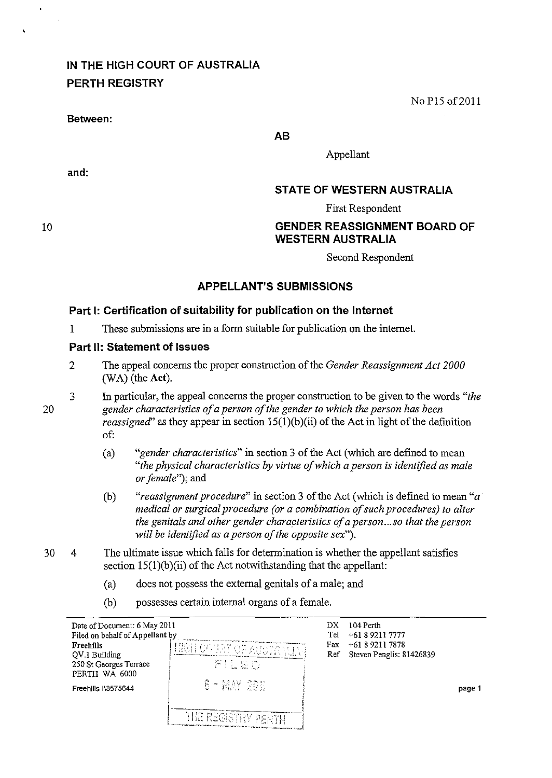# **IN THE HIGH COURT OF AUSTRALIA PERTH REGISTRY**

#### **Between:**

No *PIS* of2011

**AB** 

Appellant

## **and:**

**STATE OF WESTERN AUSTRALIA** 

First Respondent

## **GENDER REASSIGNMENT BOARD OF WESTERN AUSTRALIA**

Second Respondent

### **APPELLANT'S SUBMISSIONS**

#### **Part I: Certification of suitability for publication on the Internet**

1 These submissions are in a form suitable for publication on the internet.

#### **Part 11: Statement of Issues**

- 2 The appeal concerns the proper construction of the *Gender Reassignment Act 2000*  (WA) (the Act).
- 3 In particular, the appeal concerns the proper construction to be given to the words *"the gender characteristics of a person of the gender to which the person has been reassigned*" as they appear in section  $15(1)(b)(ii)$  of the Act in light of the definition of:
	- (a) *"gender characteristics"* in section 3 of the Act (which are defmed to mean *"the physical characteristics by virtue of which a person* is *identified as male or female");* and
	- (b) *"reassignment procedure"* in section 3 of the Act (which is defmed to mean *"a medical or surgical procedure (or a combination of such procedures) to alter the genitals and other gender characteristics of a person ... so that the person will be identified as a person of the opposite sex").*
- 30 4 The ultimate issue which falls for determination is whether the appellant satisfies section  $15(1)(b)(ii)$  of the Act notwithstanding that the appellant:
	- (a) does not possess the external genitals of a male; and
	- (b) possesses certain internal organs of a female.

| Date of Document: 6 May 2011<br>Filed on behalf of Appellant by<br>Freehills<br>QV.1 Building<br>250 St Georges Terrace<br>PERTH WA 6000<br>Freehills I\8575644 | HIGH COURT ON AUSTRALIAN<br>FILED.<br>$6 - MAY$ $235$ | DХ<br>Tel<br>Fax<br>Ref | 104 Perth<br>$+61892117777$<br>$+61892117878$<br>Steven Penglis: 81426839 | page 1 |
|-----------------------------------------------------------------------------------------------------------------------------------------------------------------|-------------------------------------------------------|-------------------------|---------------------------------------------------------------------------|--------|
|                                                                                                                                                                 | <b>THE REGISTRY PERTH</b>                             |                         |                                                                           |        |

20

10

 $\ddot{\phantom{0}}$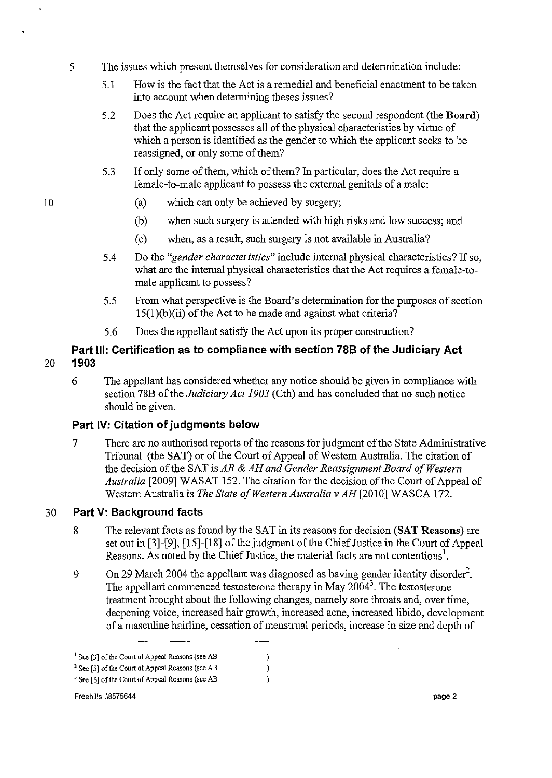- 5 The issues which present themselves for consideration and determination include:
	- 5.1 How is the fact that the Act is a remedial and beneficial enactment to be taken into account when determining theses issues?
	- 5.2 Does the Act require an applicant to satisfy the second respondent (the Board) that the applicant possesses all of the physical characteristics by virtue of which a person is identified as the gender to which the applicant seeks to be reassigned, or only some of them?
	- 5.3 If only some of them, which of them? In particular, does the Act require a female-to-male applicant to possess the external genitals of a male:
		- (a) which can only be achieved by surgery;
		- (b) when such surgery is attended with high risks and low success; and
		- (c) when, as a result, such surgery is not available in Australia?
	- 5.4 Do the *"gender characteristics"* include internal physical characteristics? If so, what are the internal physical characteristics that the Act requires a female-tomale applicant to possess?
	- 5.5 From what perspective is the Board's determination for the purposes of section 15(1)(b)(ii) of the Act to be made and against what criteria?
	- 5.6 Does the appellant satisfy the Act upon its proper construction?

## **Part Ill: Certification as to compliance with section 78B of the Judiciary Act**  20 **1903**

6 The appellant has considered whether any notice should be given in compliance with section 78B of the *Judiciary Act 1903* (Cth) and has concluded that no such notice should be given.

# **Part IV: Citation of judgments below**

7 There are no authorised reports of the reasons for judgment of the State Adruinistrative Tribunal (the SAT) or of the Court of Appeal of Western Australia. The citation of the decision of the SAT is *AB* & *AH and Gender Reassignment Board a/Western Australia* [2009] WASAT 152. The citation for the decision of the Court of Appeal of Western Australia is *The State of Western Australia* v AH [2010] WASCA 172.

# 30 **Part V: Background facts**

- 8 The relevant facts as found by the SAT in its reasons for decision (SAT Reasons) are set out in [3]-[9], [15]-[18] of the judgment of the Chief Justice in the Court of Appeal Reasons. As noted by the Chief Justice, the material facts are not contentious<sup>1</sup>.
- 9 On 29 March 2004 the appellant was diagnosed as having gender identity disorder<sup>2</sup>. The appellant commenced testosterone therapy in May  $2004<sup>3</sup>$ . The testosterone treatment brought about the following changes, namely sore throats and, over time, deepening voice, increased hair growth, increased acne, increased libido, development of a masculine hairline, cessation of menstrual periods, increase in size and depth of

 $\,$  $\lambda$  $\lambda$ 

**<sup>I</sup>See [3]** of the **Court of Appeal Reasons (see AB** 

<sup>2</sup>**See [5]** of the **Court of Appeal Reasons (see AB** 

<sup>3</sup>**See [6]** of the **Court of Appeal Reasons (see AB**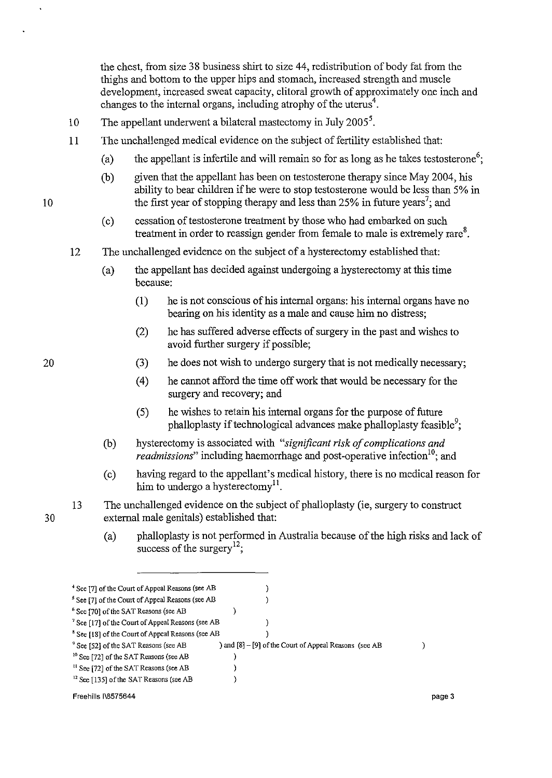the chest, from size 38 business shirt to size 44, redistribution of body fat from the thighs and bottom to the upper hips and stomach, increased strength and muscle development, increased sweat capacity, clitoral growth of approximately one inch and changes to the internal organs, including atrophy of the uterus<sup>4</sup>.

- 10 The appellant underwent a bilateral mastectomy in July 2005<sup>5</sup>.
- 11 The unchallenged medical evidence on the subject of fertility established that:
	- (a) the appellant is infertile and will remain so for as long as he takes testosterone<sup>6</sup>;
	- (b) given that the appellant has been on testosterone therapy since May 2004, his ability to bear children if he were to stop testosterone would be less than 5% in the first year of stopping therapy and less than  $25\%$  in future years<sup>7</sup>; and
	- (c) cessation of testosterone treatment by those who had embarked on such treatment in order to reassign gender from female to male is extremely rare $8$ .
- 12 The unchallenged evidence on the subject of a hysterectomy established that:
	- (a) the appellant has decided against undergoing a hysterectomy at this time because:
		- (l) he is not conscious of his internal organs: his internal organs have no bearing on his identity as a male and cause him no distress;
		- (2) he has suffered adverse effects of surgery in the past and wishes to avoid further surgery if possible;
		- (3) he does not wish to undergo surgery that is not medically necessary;
		- (4) he cannot afford the time off work that would be necessary for the surgery and recovery; and
		- (5) he wishes to retain his internal organs for the purpose of future phalloplasty if technological advances make phalloplasty feasible<sup>9</sup>;
	- (b) hysterectomy is associated with *"significant risk of complications and readmissions*" including haemorrhage and post-operative infection<sup>10</sup>; and
	- (c) having regard to the appellant's medical history, there is no medical reason for him to undergo a hysterectomy<sup>11</sup>.
- 13 The unchallenged evidence on the subject of phalloplasty (ie, surgery to construct external male genitals) established that:
	- (a) phalloplasty is not performed in Australia because of the high risks and lack of success of the surgery<sup>12</sup>:

| <sup>+</sup> See [7] of the Court of Appeal Reasons (see AB  |                                                        |        |
|--------------------------------------------------------------|--------------------------------------------------------|--------|
| <sup>5</sup> See [7] of the Court of Appeal Reasons (see AB  |                                                        |        |
| <sup>6</sup> See [70] of the SAT Reasons (see AB             |                                                        |        |
| <sup>7</sup> See [17] of the Court of Appeal Reasons (see AB |                                                        |        |
| <sup>8</sup> See [18] of the Court of Appeal Reasons (see AB |                                                        |        |
| <sup>9</sup> See [52] of the SAT Reasons (see AB             | ) and [8] – [9] of the Court of Appeal Reasons (see AB |        |
| <sup>10</sup> See [72] of the SAT Reasons (see AB            |                                                        |        |
| <sup>11</sup> See [72] of the SAT Reasons (see AB            |                                                        |        |
| <sup>12</sup> See [135] of the SAT Reasons (see AB           |                                                        |        |
| Freehills I\8575644                                          |                                                        | page 3 |

20

10

 $\ddot{\phantom{0}}$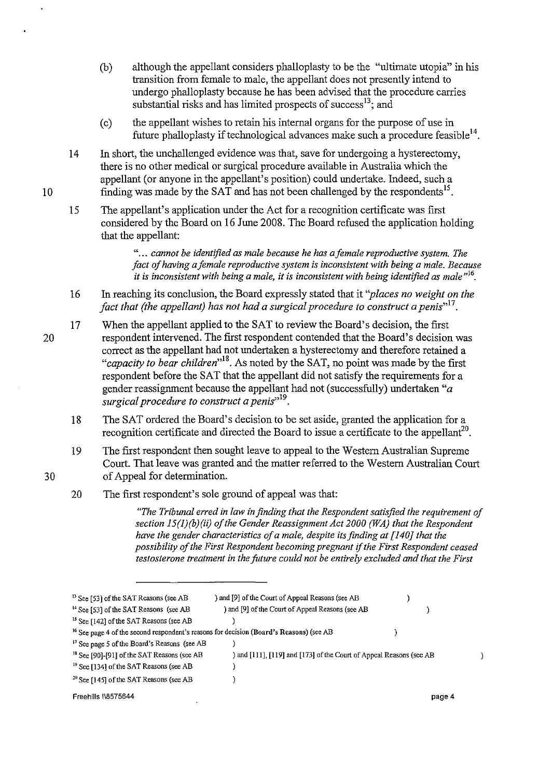- (b) although the appellant considers phalloplasty to be the "ultimate utopia" in his transition from female to male, the appellant does not presently intend to undergo phalloplasty because he has been advised that the procedure carries substantial risks and has limited prospects of success $^{13}$ ; and
- (c) the appellant wishes to retain his internal organs for the purpose of use in future phalloplasty if technological advances make such a procedure feasible<sup>14</sup>.
- 14 In short, the unchallenged evidence was that, save for undergoing a hysterectomy, there is no other medical or surgical procedure available in Australia which the appellant (or anyone in the appellant's position) could undertake. Indeed, such a finding was made by the SAT and has not been challenged by the respondents<sup>15</sup>.
- 15 The appellant's application under the Act for a recognition certificate was first considered by the Board on 16 June 2008. The Board refused the application holding that the appellant:

" ... *cannot be identified as male because he has afemale reproductive system. The fact of having a female reproductive system is inconsistent with being a male. Because*  it is inconsistent with being a male, it is inconsistent with being identified as male<sup>nto</sup>.

- 16 In reaching its conclusion, the Board expressly stated that it *"places no weight on the fact that (the appellant) has not had a surgical procedure to construct a penis*<sup>117</sup>.
- 17 When the appellant applied to the SAT to review the Board's decision, the first respondent intervened. The first respondent contended that the Board's decision was correct as the appellant had not undertaken a hysterectomy and therefore retained a "capacity to bear children<sup>,18</sup>. As noted by the SAT, no point was made by the first respondent before the SAT that the appellant did not satisfy the requirements for a gender reassignment because the appellant had not (successfully) undertaken *"a surgical procedure to construct a penis*<sup>19</sup>.
	- 18 The SAT ordered the Board's decision to be set aside, granted the application for a recognition certificate and directed the Board to issue a certificate to the appellant<sup>20</sup>.
	- 19 The first respondent then sought leave to appeal to the Western Australian Supreme Court. That leave was granted and the matter referred to the Western Australian Court of Appeal for determination.
	- 20 The first respondent's sole ground of appeal was that:

*"The Tribunal erred in law in finding that the Respondent satisfied the requirement of section J5(J)(b)(ii) of the Gender Reassignment Act 2000 (WA) that the Respondent have the gender characteristics of a male, despite its finding at [140J that the possibility of the First Respondent becoming pregnant* if *the First Respondent ceased testosterone treatment in the future could not be entirely excluded and that the First* 

| <sup>13</sup> See [53] of the SAT Reasons (see AB                                                  | ) and [9] of the Court of Appeal Reasons (see AB                    |        |  |
|----------------------------------------------------------------------------------------------------|---------------------------------------------------------------------|--------|--|
| <sup>14</sup> See [53] of the SAT Reasons (see AB                                                  | ) and [9] of the Court of Appeal Reasons (see AB                    |        |  |
| <sup>15</sup> See [142] of the SAT Reasons (see AB                                                 |                                                                     |        |  |
| <sup>16</sup> See page 4 of the second respondent's reasons for decision (Board's Reasons) (see AB |                                                                     |        |  |
| <sup>17</sup> See page 5 of the Board's Reasons (see AB                                            |                                                                     |        |  |
| <sup>18</sup> See [90]-[91] of the SAT Reasons (see AB                                             | ) and [111], [119] and [173] of the Court of Appeal Reasons (see AB |        |  |
| <sup>19</sup> See [134] of the SAT Reasons (see AB                                                 |                                                                     |        |  |
| <sup>20</sup> See [145] of the SAT Reasons (see AB                                                 |                                                                     |        |  |
| Freehills I\8575644                                                                                |                                                                     | page 4 |  |

20

10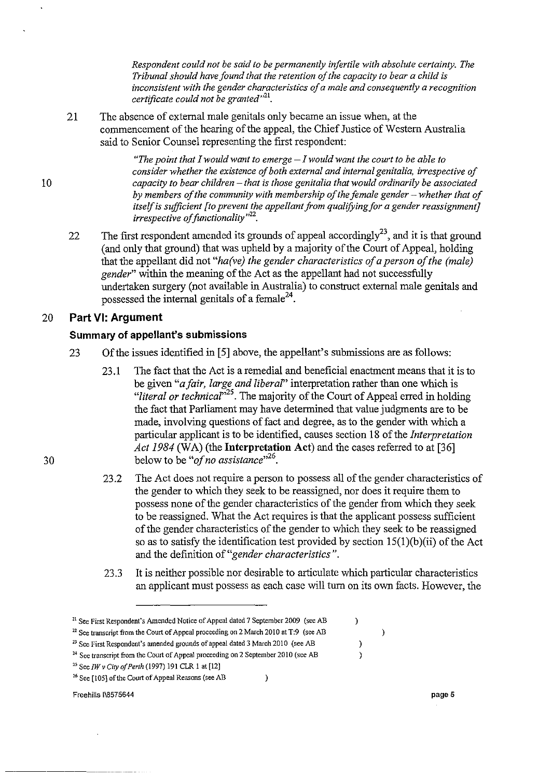*Respondent could not be said to be permanently infertile with absolute certainty. The Tribunal should have found that the retention of the capacity to bear a child* is *inconsistent with the gender characteristics of a male and consequently a recognition certificate could not be granted*<sup>121</sup>.

21 The absence of external male genitals only became an issue when, at the commencement of the hearing of the appeal, the Chief Justice of Western Australia said to Senior Counsel representing the first respondent:

> *"The point that I would want to emerge* - *I would want the court to be able to consider whether the existence of both external and internal genitalia, irrespective of capacity to bear children* - *that* is *those genitalia that would ordinarily be associated*  by members of the community with membership of the female gender – whether that of *itself is sufficient [to prevent the appellant from qualifying for a gender reassignment] irrespective of functionality*<sup>122</sup>.

22 The first respondent amended its grounds of appeal accordingly<sup>23</sup>, and it is that ground (and only that ground) that was upheld by a majority of the Court of Appeal, holding that the appellant did not *"ha(ve) the gender characteristics of a person of the (male) gender"* within the meaning of the Act as the appellant had not successfully undertaken surgery (not available in Australia) to construct external male genitals and possessed the internal genitals of a female<sup>24</sup>.

#### 20 **Part VI: Argument**

#### **Summary of appellant's submissions**

- 23 Of the issues identified in [5] above, the appellant's submissions are as follows:
	- 23.1 The fact that the Act is a remedial and beneficial enactment means that it is to be given *"afair, large and liberaf'* interpretation rather than one which is *"literal or technicar<sup>25</sup> .* The majority of the Court of Appeal erred in holding the fact that Parliament may have determined that value judgments are to be made, involving questions of fact and degree, as to the gender with which a particular applicant is to be identified, causes section 18 of the *Interpretation Act 1984* (WA) (the **Interpretation Act**) and the cases referred to at [36] below to be "*of no assistance*"<sup>26</sup>.
	- 23.2 The Act does not require a person to possess all of the gender characteristics of the gender to which they seek to be reassigned, nor does it require them to possess none of the gender characteristics of the gender from which they seek to be reassigned. What the Act requires is that the applicant possess sufficient of the gender characteristics of the gender to which they seek to be reassigned so as to satisfy the identification test provided by section  $15(1)(b)(ii)$  of the Act and the definition of *"gender characteristics".*
	- 23.3 It is neither possible nor desirable to articulate which particular characteristics an applicant must possess as each case will turn on its own facts. However, the

 $\mathcal{E}$ 

 $\mathcal{L}$ 

 $\mathcal{E}$  $\lambda$   $\mathcal{E}$ 

Freehills 1\8575644 **pageS** 

30

**<sup>21</sup> See First Respondent's Amended Notice of Appeal dated 7 September 2009 (see AB** 

<sup>&</sup>lt;sup>22</sup> See transcript from the Court of Appeal proceeding on 2 March 2010 at T:9 (see AB

<sup>&</sup>lt;sup>23</sup> See First Respondent's amended grounds of appeal dated 3 March 2010 (see AB

<sup>&</sup>lt;sup>24</sup> See transcript from the Court of Appeal proceeding on 2 September 2010 (see AB

<sup>&</sup>lt;sup>25</sup> See *IW v City of Perth* (1997) 191 CLR 1 at [12]

**<sup>26</sup> See [1051** of the **Court of Appeal Reasons (see AB**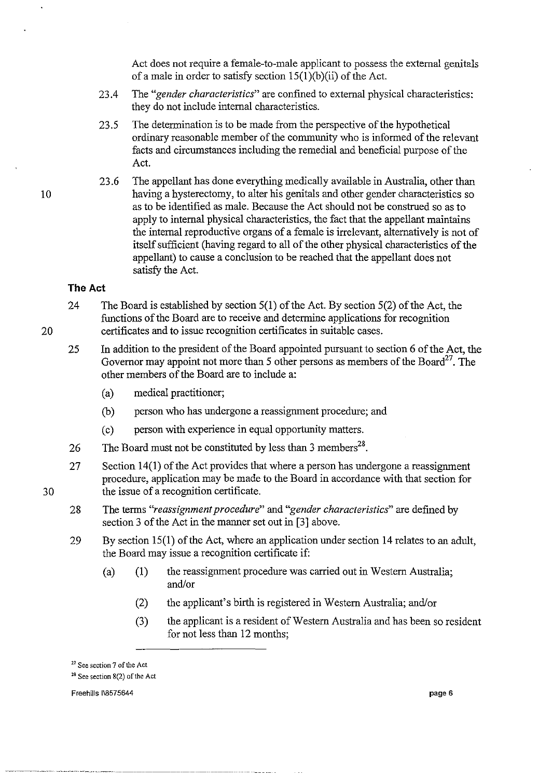Act does not require a female-to-male applicant to possess the external genitals of a male in order to satisfy section  $15(1)(b)(ii)$  of the Act.

- 23.4 The *"gender characteristics"* are confmed to external physical characteristics: they do not include internal characteristics.
- 23.5 The determination is to be made from the perspective of the hypothetical ordinary reasonable member of the community who is informed of the relevant facts and circumstances including the remedial and beneficial purpose of the Act.
- 23.6 The appellant has done everything medically available in Australia, other than having a hysterectomy, to alter his genitals and other gender characteristics so as to be identified as male. Because the Act should not be construed so as to apply to internal physical characteristics, the fact that the appellant maintains the internal reproductive organs of a female is irrelevant, alternatively is not of itself sufficient (having regard to all of the other physical characteristics of the appellant) to cause a conclusion to be reached that the appellant does not satisfy the Act.

#### **The Act**

10

20

- 24 The Board is established by section 5(1) of the Act. By section 5(2) of the Act, the functions of the Board are to receive and determine applications for recognition certificates and to issue recognition certificates in suitable cases.
- 25 **In** addition to the president of the Board appointed pursuant to section 6 of the Act, the Governor may appoint not more than 5 other persons as members of the Board<sup>27</sup>. The other members of the Board are to include a:
	- (a) medical practitioner;
	- (b) person who has undergone a reassignment procedure; and
	- (c) person with experience in equal opportunity matters.
- 26 The Board must not be constituted by less than 3 members<sup>28</sup>.
- 27 Section 14(1) of the Act provides that where a person has undergone a reassignment procedure, application may be made to the Board in accordance with that section for the issue of a recognition certificate.
- 28 The terms *"reassignment procedure"* and *"gender characteristics"* are defined by section 3 of the Act in the manner set out in [3] above.
- 29 By section 15(1) of the Act, where an application under section 14 relates to an adult, the Board may issue a recognition certificate if:
	- (a) (1) the reassignment procedure was carried out in Western Australia; and/or
		- (2) the applicant's birth is registered in Western Australia; and/or
		- (3) the applicant is a resident of Western Australia and has been so resident for not less than 12 months;

**<sup>17</sup> See section 7** of the **Act** 

**<sup>1&</sup>amp; See section 8(2)** of the **Act** 

Freehills 1\8575644 **page 6**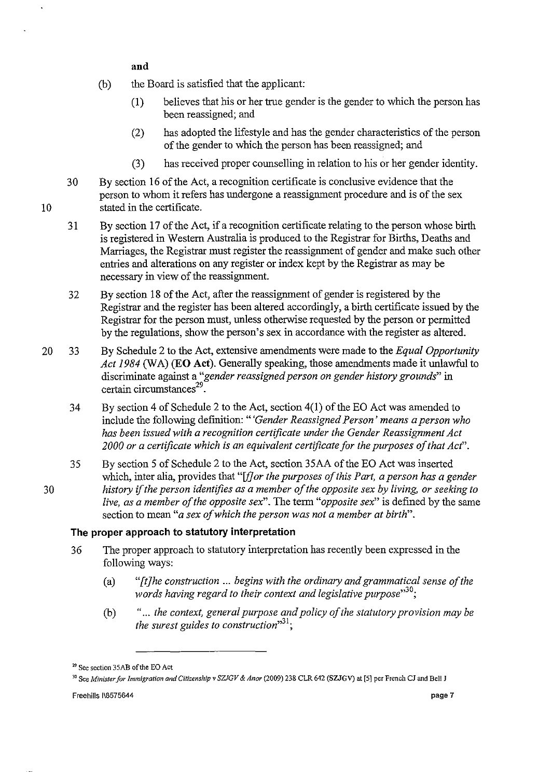**and** 

- Cb) the Board is satisfied that the applicant:
	- (1) believes that his or her true gender is the gender to which the person has been reassigned; and
	- (2) has adopted the lifestyle and has the gender characteristics of the person of the gender to which the person has been reassigned; and
	- (3) has received proper counselling in relation to his or her gender identity.
- 30 By section 16 of the Act, a recognition certificate is conclusive evidence that the person to whom it refers has undergone a reassigmnent procedure and is of the sex stated in the certificate.
- 31 By section 17 of the Act, if a recognition certificate relating to the person whose birth is registered in Western Australia is produced to the Registrar for Births, Deaths and Marriages, the Registrar must register the reassigmnent of gender and make such other entries and alterations on any register or index kept by the Registrar as may be necessary in view of the reassigmnent.
- 32 By section 18 of the Act, after the reassigmnent of gender is registered by the Registrar and the register has been altered accordingly, a birth certificate issued by the Registrar for the person must, unless otherwise requested by the person or permitted by the regulations, show the person's sex in accordance with the register as altered.
- 20 33 By Schedule 2 to the Act, extensive amendments were made to the *Equal Opportunity*  Act 1984 (WA) **(EO Act)**. Generally speaking, those amendments made it unlawful to discriminate against a *"gender reassigned person on gender history grounds"* in certain circumstances $29$ .
	- 34 By section 4 of Schedule 2 to the Act, section 4(1) of the EO Act was amended to include the following definition: *"'Gender Reassigned Person' means a person who has been issued with a recognition certificate under the Gender Reassignment Act 2000 or a certificate which is an equivalent certificate for the purposes of that Act".*
- 35 By section 5 of Schedule 2 to the Act, section 35AA of the EO Act was inserted which, inter alia, provides that "[f] or the purposes of this Part, a person has a gender *30 history* if *the person identifies as a member o/the opposite sex by living, or seeking to live, as a member of the opposite sex".* The term *"opposite sex"* is defined by the same section to mean *"a sex of which the person was not a member at birth".*

#### **The proper approach to statutory interpretation**

- 36 The proper approach to statutory interpretation has recently been expressed in the following ways:
	- (a) *"[t]he construction* ... *begins with the ordinary and grammatical sense of the words having regard to their context and legislative purpose*<sup>30</sup>;
	- Cb) "... *the context, general purpose and policy of the statutory provision may be the surest guides to construction*<sup>31</sup>;

**<sup>29</sup> See section 35AB** of the **EO Act** 

**<sup>30</sup> See** *Minister for Immigration and Citizenship* **v** *SZlGV* **&** *Anor* **(2009) 238 CLR 642 (SZJGV) at [5] per French** *Cl* **and Bell J**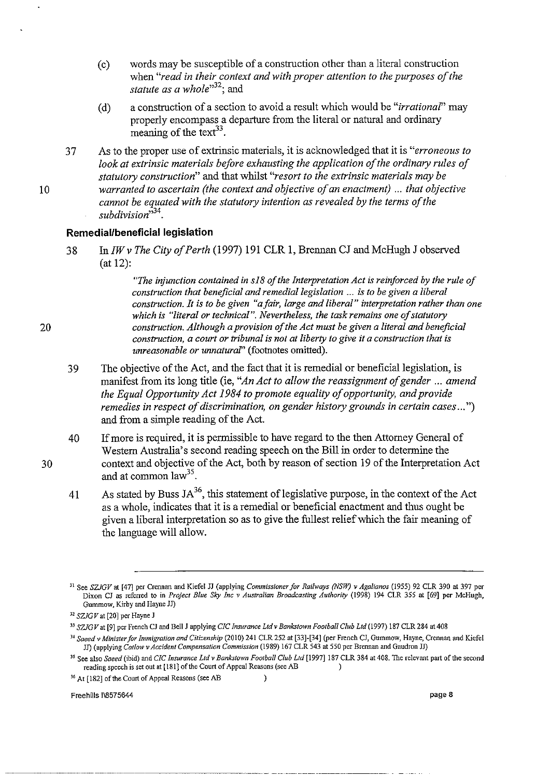- (c) words may be susceptible of a construction other than a literal construction when *"read in their context and with proper attention to the purposes of the statute as a whole*<sup>132</sup>; and
- (d) a construction of a section to avoid a result which would be *"irrational"* may properly encompass a departure from the literal or natural and ordinary meaning of the text<sup>33</sup>.
- 37 As to the proper use of extrinsic materials, it is acknowledged that it is *"erroneous to look at extrinsic materials before exhausting the application of the ordinary rules of statutory construction"* and that whilst *"resort to the extrinsic materials may be warranted to ascertain (the context and objective of an enactment)* ... *that objective cannot be equated with the statutory intention as revealed by the terms of the subdivision,,34.*

#### **Remedial/beneficial legislation**

38 *InIWv The City of Perth* (1997) 191 CLR 1, Brennan CJ and McHugh J observed (at 12):

> *"The injunction contained in s18 of the Interpretation Act is reinforced by the rule of construction that beneficial and remedial legislation* ... *is to be given a liberal construction. It is to be given "afair, large and liberal" interpretation rather than one which is "literal or technical* ". *Nevertheless, the task remains one of statutory construction. Although a provision of the Act must be given a literal and beneficial construction, a court or tribunal is not at liberty to give it a construction that is unreasonable or unnaturaf'* (footnotes omitted).

- 39 The objective of the Act, and the fact that it is remedial or beneficial legislation, is manifest from its long title (ie, *"An Act to allow the reassignment of gender* ... *amend the Equal Opportunity Act* 1984 *to promote equality of opportunity, and provide remedies in respect of discrimination, on gender history grounds in certain cases ...* ") and from a simple reading of the Act.
- 40 If more is required, it is permissible to have regard to the then Attorney General of Western Australia's second reading speech on the Bill in order to determine the context and objective of the Act, both by reason of section 19 of the Interpretation Act and at common  $law^{35}$ .
- 41 As stated by Buss  $JA^{36}$ , this statement of legislative purpose, in the context of the Act as a whole, indicates that it is a remedial or beneficial enactment and thus ought be given a liberal interpretation so as to give the fullest relief which the fair meaning of the language will allow.

 $\mathcal{E}$ 

**36 At [182]** of the **Court of Appeal Reasons (see AB** 

Freehills 1\8575644 page 8

20

30

**<sup>31</sup>See** *SZJGV* **at [47] per Crennan and Kiefel JJ (applying** *Commissioner for Railways (NSW)* **v** *Agalianos* **(1955) 92 CLR 390 at 397 per Dixon** *Cl* **as referred to in** *Project Blue Sky inc* **v** *Australian Broadcasting Authority* **(1998) 194 CLR 355 at [69] per McHugh. Gummow, Kirby and Hayne J1)** 

**<sup>12</sup>SZJG V at [20] per Hayne J** 

**<sup>33</sup> SZJGVat [9] per French** *Cl* **and Bell J applying** *CIC Insurance Lld v Bankstown Football Club Lld* **(1997) 187 CLR 284 at 408** 

*<sup>34</sup> Saeed* **v** *Minister for Immigration and Citi=enship* **(2010) 241 CLR 252 at [33]-[34] (per French** *Cl,* **Gummow, Hayne, Crcnnan and Kiefel JJ) (applying** *Catlow* **v** *ACCident Compensation Commission* **(1989) 167 CLR 543 at 550 per Brennan and Gaudron JJ)** 

*<sup>)</sup>S* **See also** *Saeed* **(ibid) and** *CIC Insurance Ltd* **v** *Bankstown Football Club Ltd* **[1997] 187 CLR 384 at 408. The relevant part** of the **second reading speech is set out at [181]** of the **Court of Appeal Reasons (see AB )**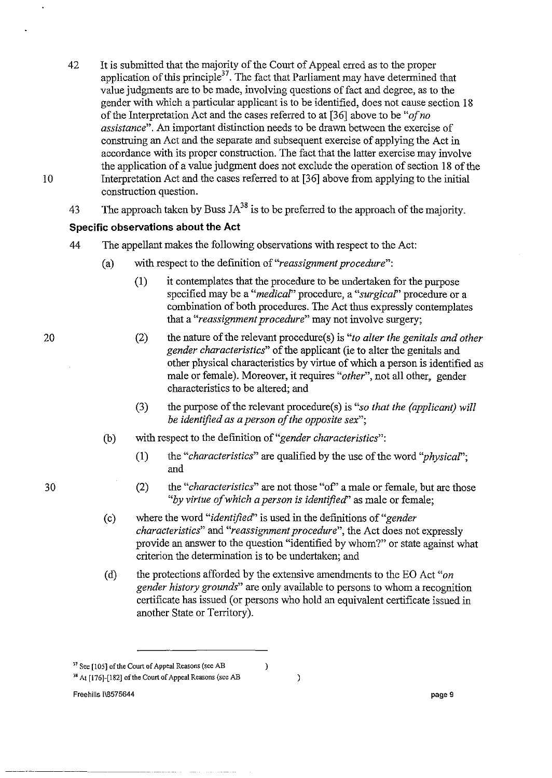- 42 It is submitted that the majority of the Court of Appeal erred as to the proper application of this principle<sup>37</sup>. The fact that Parliament may have determined that value judgments are to be made, involving questions of fact and degree, as to the gender with which a particular applicant is to be identified, does not cause section 18 of the Interpretation Act and the cases referred to at [36] above to be *"ofno assistance".* An important distinction needs to be drawn between the exercise of construing an Act and the separate and subsequent exercise of applying the Act in accordance with its proper construction. The fact that the latter exercise may involve the application of a value judgment does not exclude the operation of section 18 of the Interpretation Act and the cases referred to at [36] above from applying to the initial construction question.
- 43 The approach taken by Buss  $JA^{38}$  is to be preferred to the approach of the majority.

## **Specific observations about the Act**

- 44 The appellant makes the following observations with respect to the Act:
	- (a) with respect to the definition of *"reassignment procedure":* 
		- (1) it contemplates that the procedure to be undertaken for the purpose specified may be a *"medica?'* procedure, a *"surgica?'* procedure or a combination of both procedures. The Act thus expressly contemplates that a *"reassignment procedure"* may not involve surgery;
		- (2) the nature of the relevant procedure(s) is *"to alter the genitals and other gender characteristics"* of the applicant (ie to alter the genitals and other physical characteristics by virtue of which a person is identified as male or female). Moreover, it requires *"other",* not all other, gender characteristics to be altered; and
		- (3) the purpose of the relevant procedure(s) is *"so that the (applicant) will be identijied as a person of the opposite sex";*
	- (b) with respect to the definition of *"gender characteristics":* 
		- (1) the *"characteristics"* are qualified by the use of the word *''physica?';*  and
		- (2) the *"characteristics"* are not those "of' a male or female, but are those *"by virtue of which a person* is *identijiecf'* as male or female;
	- ( c) where the word *"identijiecf'* is used in the definitions of *"gender characteristics"* and *"reassignment procedure",* the Act does not expressly provide an answer to the question "identified by whom?" or state against what criterion the determination is to be undertaken; and
	- (d) the protections afforded by the extensive amendments to the EO Act *"on gender history grounds"* are only available to persons to whom a recognition certificate has issued (or persons who hold an equivalent certificate issued in another State or Territory).

 $\,$  )

 $\mathcal{E}$ 

Freehills 118575644 **page 9** 

30

20

**<sup>31</sup> See [105] ofthe Court of Appeal Reasons (see AB 38 At [176]-[182]** of the **Court of Appeal Reasons (see AB**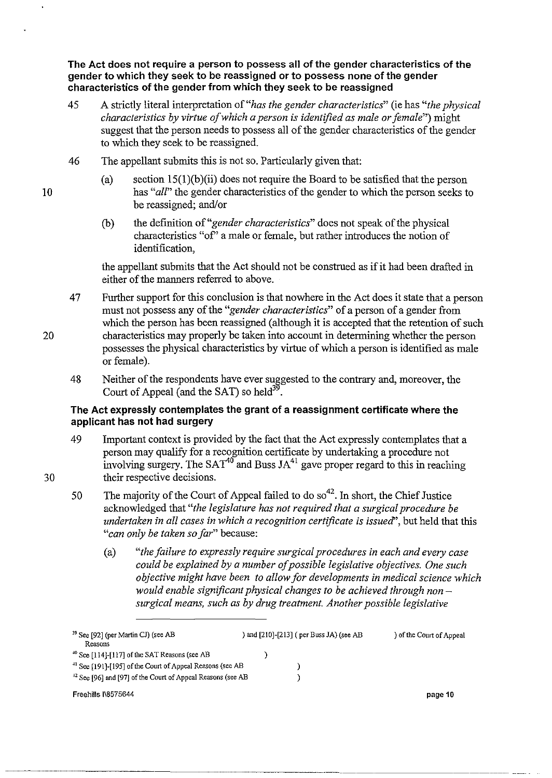**The Act does not require a person to possess all of the gender characteristics of the gender to which they seek to be reassigned or to possess none of the gender characteristics of the gender from which they seek to be reassigned** 

- 45 A strictly literal interpretation of *"has the gender characteristics"* (ie has *"the physical characteristics by virtue of which a person is identified as male or female")* might suggest that the person needs to possess all of the gender characteristics of the gender to which they seek to be reassigned.
- 46 The appellant submits this is not so. Particularly given that:
	- (a) section  $15(1)(b)(ii)$  does not require the Board to be satisfied that the person has "*all*" the gender characteristics of the gender to which the person seeks to be reassigned; and/or
	- (b) the definition of *"gender characteristics"* does not speak of the physical characteristics "of' a male or female, but rather introduces the notion of identification,

the appellant submits that the Act should not be construed as if it had been drafted in either of the manners referred to above.

- 47 Further support for this conclusion is that nowhere in the Act does it state that a person must not possess any of the *"gender characteristics"* of a person of a gender from which the person has been reassigned (although it is accepted that the retention of such characteristics may properly be taken into account in determining whether the person possesses the physical characteristics by virtue of which a person is identified as male or female).
- 48 Neither of the respondents have ever suggested to the contrary and, moreover, the Court of Appeal (and the SAT) so held<sup>39</sup>.

#### **The Act expressly contemplates the grant of a reassignment certificate where the applicant has not had surgery**

- 49 Important context is provided by the fact that the Act expressly contemplates that a person may qualify for a recognition certificate by undertaking a procedure not involving surgery. The  $SAT^{40}$  and Buss  $JA^{41}$  gave proper regard to this in reaching their respective decisions.
- 50 The majority of the Court of Appeal failed to do  $\mathrm{so}^{42}$ . In short, the Chief Justice acknowledged that *"the legislature has not required that a surgical procedure be undertaken in all cases in which a recognition certificate is issued',* but held that this *"can only be taken so far"* because:
	- (a) *"the failure to expressly require surgical procedures in each and every case could be explained by a number of possible legislative objectives. One such objective might have been to allow for developments in medical science which would enable significant physical changes to be achieved through non surgical means, such as by drug treatment. Another possible legislative*

| <sup>39</sup> See [92] (per Martin CJ) (see AB<br>Reasons              | ) and [210]-[213] ( per Buss JA) (see AB | of the Court of Appeal |
|------------------------------------------------------------------------|------------------------------------------|------------------------|
| $^{40}$ See [114]-[117] of the SAT Reasons (see AB                     |                                          |                        |
| <sup>41</sup> See [191]-[195] of the Court of Appeal Reasons (see AB   |                                          |                        |
| <sup>42</sup> See [96] and [97] of the Court of Appeal Reasons (see AB |                                          |                        |
| Freehills I\8575644                                                    |                                          | page 10                |

10

30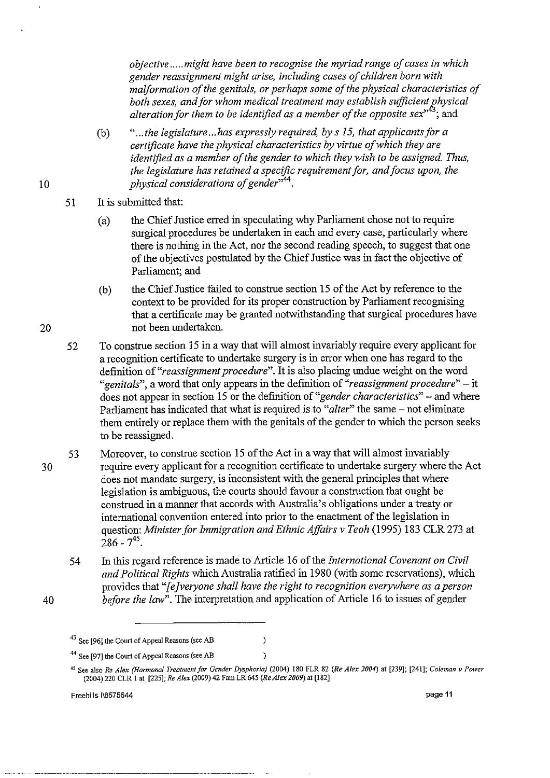*objective* ..... *might have been to recognise the myriad range of cases in which gender reassignment might arise, including cases of children born with malformation of the genitals, or perhaps some of the physical characteristics of both sexes, and for whom medical treatment may establish sufficient physical alteration for them to be identified as a member of the opposite sex*<sup>343</sup>; and

- (b) *" ... the legislature ... has expressly required, by* s *i5, that applicants for a certificate have the physical characteristics by virtue of which they are identified as a member of the gender to which they wish to be assigned. Thus, the legislature has retained a specific requirement for, and focus upon, the physical considerations of gender*<sup>144</sup>.
- 51 It is submitted that:
	- (a) the Chief Justice erred in speculating why Parliament chose not to require surgical procedures be undertaken in each and every case, particularly where there is nothing in the Act, nor the second reading speech, to suggest that one of the objectives postulated by the Chief Justice was in fact the objective of Parliament; and
	- (b) the Chief Justice failed to construe section 15 of the Act by reference to the context to be provided for its proper construction by Parliament recognising that a certificate may be granted notwithstanding that surgical procedures have not been undertaken.
- 52 To construe section 15 in a way that will almost invariably require every applicant for a recognition certificate to undertake surgery is in error when one has regard to the definition of *"reassignment procedure".* It is also placing undue weight on the word *"genitals",* a word that only appears in the definition of *"reassignment procedure"* - it does not appear in section 15 or the definition of *"gender characteristics"* - and where Parliament has indicated that what is required is to "*alter*" the same – not eliminate them entirely or replace them with the genitals of the gender to which the person seeks to be reassigned.
- 30 53 Moreover, to construe section 15 of the Act in a way that will almost invariably require every applicant for a recognition certificate to undertake surgery where the Act does not mandate surgery, is inconsistent with the general principles that where legislation is ambiguous, the courts should favour a construction that ought be construed in a manner that accords with Australia's obligations under a treaty or international convention entered into prior to the enactment of the legislation in question: *Minister for immigration and Ethnic Affairs* v *Teoh* (1995) 183 CLR 273 at  $286 - 7^{45}$ .
	- 54 In this regard reference is made to Article 16 of the *international Covenant on Civil and Political Rights* which Australia ratified in 1980 (with some reservations), which provides that *"[e Jveryone shall have the right to recognition everywhere as a person before the law*". The interpretation and application of Article 16 to issues of gender

 $\lambda$  $\lambda$ 

Freehills 1\8575644 **page 11** 

20

<sup>40</sup> 

**<sup>43</sup> See [96] the Court of Appeal Reasons (see AB** 

**<sup>44</sup> See [97] the Court of Appeal Reasons (see AB** 

**<sup>45</sup> See also** *Re A/ex (Hormonal TreatmentJor Gender Dysphoria)* **(2004) 180 FLR 82** *(Re Alex 2004)* **at [239]; [241];** *Coleman* **v** *Power*  (2004) 220 CLR 1 at [225J; *Re Alex* (2009) 42 Fam LR 645 *(Re Alex 2009)* at [182J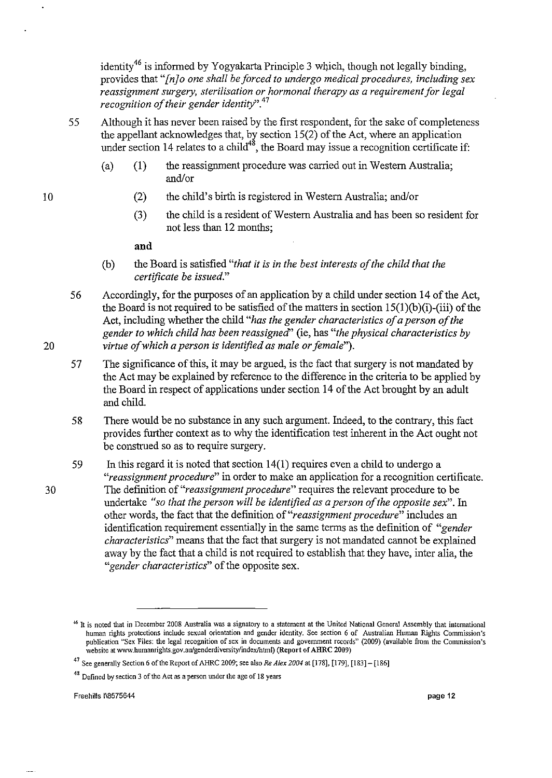identity<sup>46</sup> is informed by Yogyakarta Principle 3 which, though not legally binding, provides that *"[nJo one shall beforced to undergo medical procedures, including sex reassignment surgery, sterilisation or hormonal therapy as a requirement for legal recognition of their gender identity".47* 

- 55 Although it has never been raised by the first respondent, for the sake of completeness the appellant acknowledges that, by section 15(2) of the Act, where an application under section 14 relates to a child<sup>48</sup>, the Board may issue a recognition certificate if:
	- $(a)$   $(1)$ the reassignment procedure was carried out in Western Australia; and/or
		- (2) the child's birth is registered in Western Australia; and/or
		- (3) the child is a resident of Western Australia and has been so resident for not less than 12 months;

#### **and**

10

20

- (b) the Board is satisfied *"that it* is *in the best interests of the child that the certificate be issued."*
- 56 Accordingly, for the purposes of an application by a child under section 14 of the Act, the Board is not required to be satisfied of the matters in section  $15(1)(b)(i)$ -(iii) of the Act, including whether the child *"has the gender characteristics of a person of the gender to which child has been reassigned'* (ie, has *"the physical characteristics by virtue of which a person* is *identified as male or female").*
- 57 The significance of this, it may be argued, is the fact that surgery is not mandated by the Act may be explained by reference to the difference in the criteria to be applied by the Board in respect of applications under section 14 of the Act brought by an adult and child.
- 58 There would be no substance in any such argument. Indeed, to the contrary, this fact provides further context as to why the identification test inherent in the Act ought not be construed so as to require surgery.
- 59 In this regard it is noted that section 14(1) requires even a child to undergo a *"reassignment procedure"* in order to make an application for a recognition certificate. The definition of *"reassignment procedure"* requires the relevant procedure to be undertake *"so that the person will be identified as a person of the opposite sex".* In other words, the fact that the definition of *"reassignment procedure"* includes an identification requirement essentially in the same terms as the definition of *"gender characteristics"* means that the fact that surgery is not mandated cannot be explained away by the fact that a child is not required to establish that they have, inter alia, the *"gender characteristics"* of the opposite sex.

<sup>~6</sup> **It is noted that in December 2008 Australia was a signatory to a statement at the United National General Assembly that international human rights protections include sexual orientation and gender identity. See section 6 of Australian Human Rights Commission's publication "Sex Files: the legal recognition of sex in documents and government records" (2009) (available from the Commission's**  website at www.humanrights.gov.au/genderdiversity/index/html) (Report of AHRC 2009)

**<sup>47</sup> See generally Section 6** of the **Report of AHRC 2009; see also** *Re A/ex 2004* **at [178], II 79], [183] - [186]** 

**<sup>48</sup> Defined by section 3** of the **Act as a person under the age of 18 years**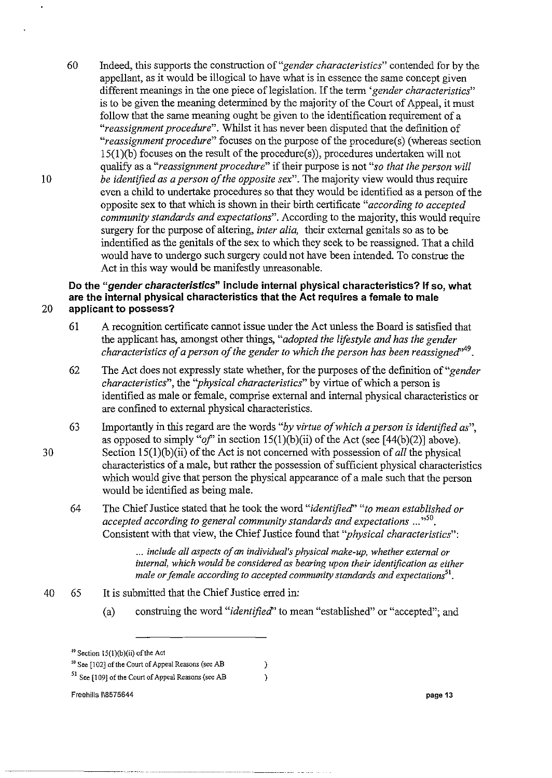60 Indeed, this supports the construction of *"gender characteristics"* contended for by the appellant, as it would be illogical to have what is in essence the same concept given different meanings in the one piece of legislation. If the term *'gender characteristics*" is to be given the meaning determined by the majority of the Court of Appeal, it must follow that the same meaning ought be given to the identification requirement of a *"reassignment procedure".* Whilst it has never been disputed that the definition of *"reassignment procedure"* focuses on the purpose of the procedure(s) (whereas section 15(l)(b) focuses on the result of the procedure(s», procedures undertaken will not qualify as a *"reassignment procedure"* if their purpose is not *"so that the person will be identified as a person of the opposite sex".* The majority view would thus require even a child to undertake procedures so that they would be identified as a person of the opposite sex to that which is shown in their birth certificate *"according to accepted community standards and expectations".* According to the majority, this would require surgery for the purpose of altering, *inter alia,* their external genitals so as to be indentified as the genitals of the sex to which they seek to be reassigned. That a child would have to undergo such surgery could not have been intended. To construe the Act in this way would be manifestly unreasonable.

**Do the "gender characteristics" include internal physical characteristics? If so, what are the internal physical characteristics that the Act requires a female to male**  20 **applicant to possess?** 

- 61 A recognition certificate cannot issue under the Act unless the Board is satisfied that the applicant has, amongst other things, *"adopted the lifestyle and has the gender characteristics of a person of the gender to which the person has been reassigned*<sup>,49</sup>.
- 62 The Act does not expressly state whether, for the purposes of the definition of *"gender characteristics",* the *"physical characteristics"* by virtue of which a person is identified as male or female, comprise external and internal physical characteristics or are confmed to external physical characteristics.
- 63 Importantly in this regard are the words *"by virtue of which a person is identified as",*  as opposed to simply "of" in section  $15(1)(b)(ii)$  of the Act (see [44(b)(2)] above). Section 15(1)(b)(ii) of the Act is not concerned with possession of *all* the physical characteristics of a male, but rather the possession of sufficient physical characteristics which would give that person the physical appearance of a male such that the person would be identified as being male.
- 64 The Chief Justice stated that he took the word *"identified' "to mean established or accepted according to general community standards and expectations* ... ,,50. Consistent with that view, the Chief Justice found that *"physical characteristics":*

... *include all aspects of an individual's physical make-up, whether external or internal, which would be considered as bearing upon their identification as either male or female according to accepted community standards and expectations*<sup>51</sup>.

- 40 65 It is submitted that the Chief Justice erred in:
	- (a) construing the word *"identified'* to mean "established" or "accepted"; and

 $\mathcal{E}$  $\lambda$ 

Freehills I\8575644 **page 13** 

30

<sup>~9</sup> **Section lS(1)(b)(ii)** of the **Act** 

**<sup>;0</sup> See [102]** of the **Court of Appeal Reasons (see AB** 

**<sup>51</sup> See [109]** of the **Court of Appeal Reasons (see AB**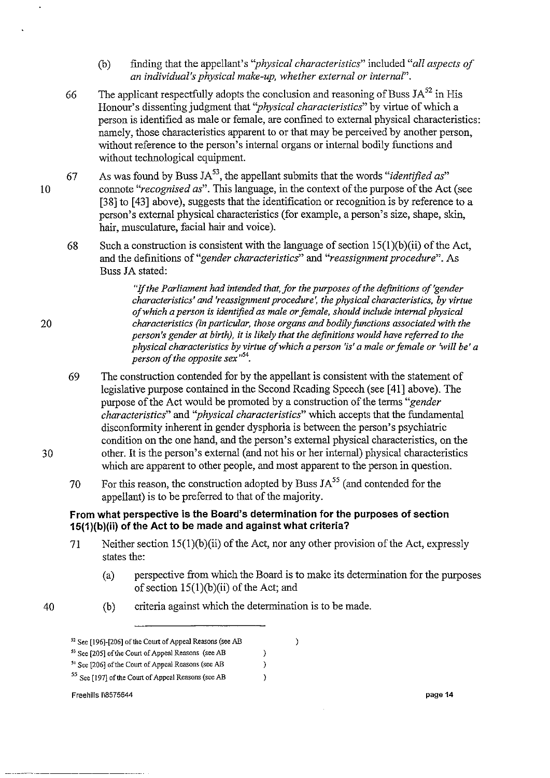- (b) finding that the appellant's *"physical characteristics"* included *"all aspects of an individual's physical make-up, whether external or internal".*
- 66 The applicant respectfully adopts the conclusion and reasoning of Buss  $JA^{52}$  in His Honour's dissenting judgment that *"physical characteristics"* by virtue of which a person is identified as male or female, are confined to external physical characteristics: namely, those characteristics apparent to or that may be perceived by another person, without reference to the person's internal organs or internal bodily functions and without technological equipment.
- 67 As was found by Buss JA<sup>53</sup>, the appellant submits that the words "*identified as*" connote *"recognised as".* This language, in the context of the purpose of the Act (see [38] to [43] above), suggests that the identification or recognition is by reference to a person's external physical characteristics (for example, a person's size, shape, skin, hair, musculature, facial hair and voice).
	- 68 Such a construction is consistent with the language of section 15(1)(b)(ii) of the Act, and the definitions of *"gender characteristics"* and *"reassignment procedure".* As Buss JA stated:

*"If the Parliament had intended that, for the purposes of the definitions of 'gender characteristics' and 'reassignment procedure', the physical characteristics, by virtue of which a person* is *identified as male or female, should include internal physical characteristics* (in *particular, those organs and bodily functions associated with the person's gender at birth), it* is *likely that the definitions would have referred to the physical characteristics by virtue of which a person* 'is' *a male or female or 'will be' a person of the opposite sex*<sup>154</sup>.

- 69 The construction contended for by the appellant is consistent with the statement of legislative purpose contained in the Second Reading Speech (see [41] above). The purpose of the Act would be promoted by a construction of the terms *"gender characteristics"* and *"physical characteristics"* which accepts that the fundamental disconformity inherent in gender dysphoria is between the person's psychiatric condition on the one hand, and the person's external physical characteristics, on the other. It is the person's external (and not his or her internal) physical characteristics which are apparent to other people, and most apparent to the person in question.
- 70 For this reason, the construction adopted by Buss  $JA<sup>55</sup>$  (and contended for the appellant) is to be preferred to that of the majority.

#### **From what perspective is the Board's determination for the purposes of section 15(1 )(b)(ii) of the Act to be made and against what criteria?**

71 Neither section l5(1)(b)(ii) of the Act, nor any other provision of the Act, expressly states the:

> $\overline{\phantom{a}}$  $\lambda$

(a) perspective from which the Board is to make its determination for the purposes of section l5(1)(b)(ii) of the Act; and

 $\lambda$ 

- 40
- (b) criteria against which the determination is to be made.

20

30

**<sup>52</sup> See [196]-[206]** of the **Court of Appeal Reasons (see AB** 

**<sup>53</sup> See [205]** of the **Court of Appeal Reasons (see AB** 

<sup>&</sup>lt;sup>54</sup> See [206] of the Court of Appeal Reasons (see AB

**<sup>55</sup> See [197]** of the **Court of Appeal Reasons (see AB**   $\lambda$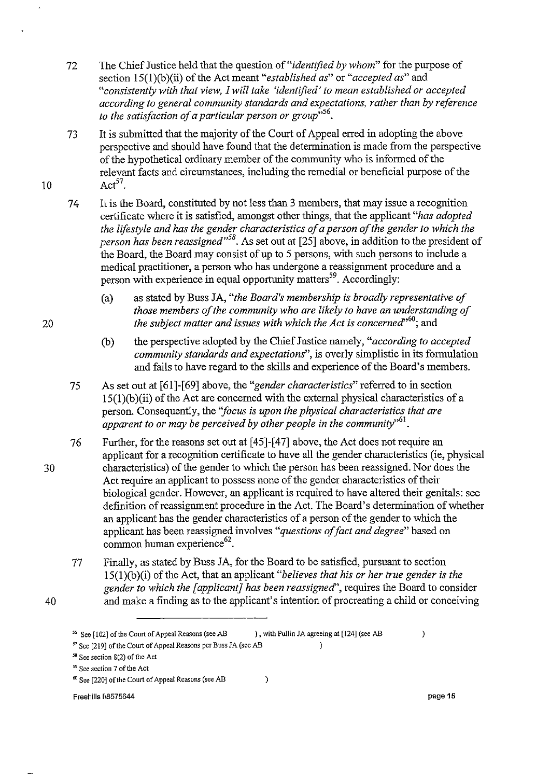- 72 The Chief Justice held that the question of *"identified by whom"* for the purpose of section 15(l)(b)(ii) of the Act meant *"established as"* or *"accepted as"* and *"consistently with that view, I will take 'identified'to mean established or accepted according to general community standards and expectations, rather than by reference*  to the satisfaction of a particular person or group<sup>1556</sup>.
- 73 It is submitted that the majority of the Court of Appeal erred in adopting the above perspective and should have found that the determination is made from the perspective of the hypothetical ordinary member of the community who is informed of the relevant facts and circumstances, including the remedial or beneficial purpose of the Act $57<sub>+</sub>$
- 74 It is the Board, constituted by not less than 3 members, that may issue a recognition certificate where it is satisfied, amongst other things, that the applicant *"has adopted the lifestyle and has the gender characteristics of a person of the gender to which the person has been reassigned*<sup>38</sup>. As set out at [25] above, in addition to the president of the Board, the Board may consist of up to 5 persons, with such persons to include a medical practitioner, a person who has undergone a reassignment procedure and a person with experience in equal opportunity matters<sup>59</sup>. Accordingly:
	- (a) as stated by Buss JA, *"the Board's membership is broadly representative of those members of the community who are likely to have an understanding of the subject matter and issues with which the Act is concerned*<sup>,60</sup>; and
	- (b) the perspective adopted by the Chief Justice namely, *"according to accepted community standards and expectations",* is overly simplistic in its formulation and fails to have regard to the skills and experience of the Board's members.
- 75 As set out at [61]-[69] above, the *"gender characteristics"* referred to in section  $15(1)(b)(ii)$  of the Act are concerned with the external physical characteristics of a person. Consequently, the *"focus is upon the physical characteristics that are apparent to or may be perceived by other people in the community*<sup> $,61$ </sup>.
- 76 Further, for the reasons set out at [45]-[47] above, the Act does not require an applicant for a recognition certificate to have all the gender characteristics (ie, physical characteristics) of the gender to which the person has been reassigned. Nor does the Act require an applicant to possess none of the gender characteristics of their biological gender. However, an applicant is required to have altered their genitals: see definition of reassignment procedure in the Act. The Board's determination of whether an applicant has the gender characteristics of a person of the gender to which the applicant has been reassigned involves *"questions of fact and degree"* based on  $\frac{1}{2}$  common human experience  $62$ .
	- 77 Finally, as stated by Buss JA, for the Board to be satisfied, pursuant to section 15(1)(b)(i) of the Act, that an applicant *"believes that his or her true gender is the gender to which the [applicant] has been reassigned",* requires the Board to consider and make a finding as to the applicant's intention of procreating a child or conceiving

 $\mathcal{E}$ 

 $\lambda$ 

20

10

30

<sup>56</sup> See [102] of the Court of Appeal Reasons (see AB ), with Pullin *lA* agreeing at [124] (see AB 57 See [219] of the Court of Appeal Reasons per Buss *lA* (see AB )

<sup>58</sup> See section 8(2) of the Act

*S9* See section 7 of the Act

<sup>60</sup> See [220] of the Court of Appeal Reasons (see AB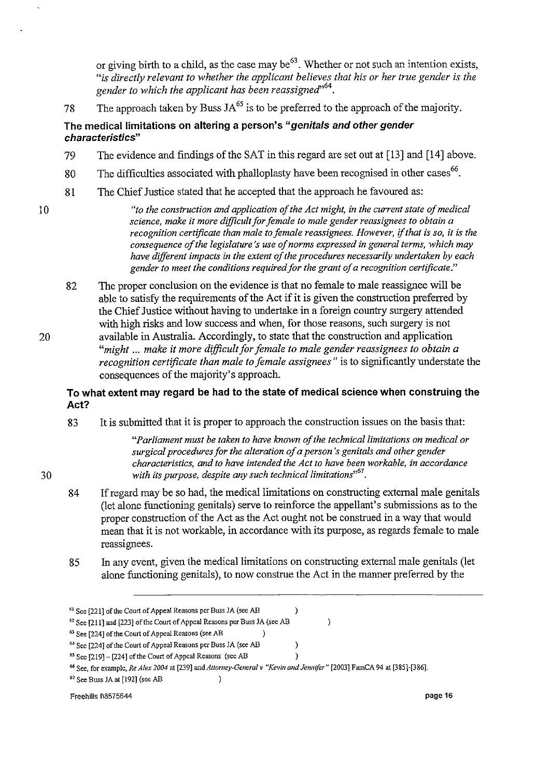or giving birth to a child, as the case may be<sup>63</sup>. Whether or not such an intention exists, "is directly relevant to whether the applicant believes that his or her true gender is the gender to which the applicant has been reassigned<sup>764</sup>.

78 The approach taken by Buss  $JA^{65}$  is to be preferred to the approach of the majority.

## **The** medical limitations **on altering a person's "genitals and other gender characteristics"**

- 79 The evidence and fmdings of the SAT in this regard are set out at [13] and [14] above.
- 80 The difficulties associated with phalloplasty have been recognised in other cases<sup>66</sup>.
- 81 The Chief Justice stated that he accepted that the approach he favoured as:

30

*10 "to the construction and application of the Act might, in the current state of medical science, make it more difficult for female to male gender reassignees to obtain a recognition certificate than male to female reassignees. However,* if *that* is *so, it* is *the consequence of the legislature's use of norms expressed in general terms, which may have different impacts in the extent of the procedures necessarily undertaken by each*  gender to meet the conditions required for the grant of a recognition certificate."

82 The proper conclusion on the evidence is that no female to male reassignee will be able to satisfy the requirements of the Act if it is given the construction preferred by the Chief Justice without having to undertake in a foreign country surgery attended with high risks and low success and when, for those reasons, such surgery is not 20 available in Australia. Accordingly, to state that the construction and application *"might* ... *make it more difficult for female to male gender reassignees to obtain a recognition certificate than male to female assignees"* is to significantly understate the consequences of the majority's approach.

## **To what extent may regard be had to the state of medical science when construing the Act?**

83 It is submitted that it is proper to approach the construction issues on the basis that:

> *"Parliament must be taken to have known of the technical limitations on medical or surgical procedures for the alteration of a person's genitals and other gender characteristics, and to have intended the Act to have been workable, in accordance*  with its purpose, despite any such technical limitations<sup>551</sup>.

- 84 If regard may be so had, the medical limitations on constructing external male genitals (let alone functioning genitals) serve to reinforce the appellant's submissions as to the proper construction of the Act as the Act ought not be construed in a way that would mean that it is not workable, in accordance with its purpose, as regards female to male reassignees.
- 85 In any event, given the medical limitations on constructing external male genitals (let alone functioning genitals), to now construe the Act in the manner preferred by the

 $\lambda$ 

 $\lambda$  $\lambda$   $\lambda$ 

**67 See Buss lA at [192] (see AB )** 

**<sup>61</sup> See [221]** of the **Court of Appeal Reasons per Buss** *lA* **(see AB** 

<sup>62</sup>**See [211] and [223]** of the **Court of Appeal Reasons per Buss** *lA* **(see AB** 

**<sup>63</sup> See [224]** of the **Court of Appeal Reasons (see AB )** 

**<sup>6-1</sup> See [224]** of the **Court of Appeal Reasons per Buss** *lA* **(see AB** 

**<sup>65</sup> See [219] \_ [224]** of the **Court of Appeal Reasons (see AB** 

**<sup>66</sup> See, for example,** *Re Alex 2004* **at [239]** and *Attorney-General v "Kevin and Jennifer"* **[2003] FamCA 94 at [385]-[386].**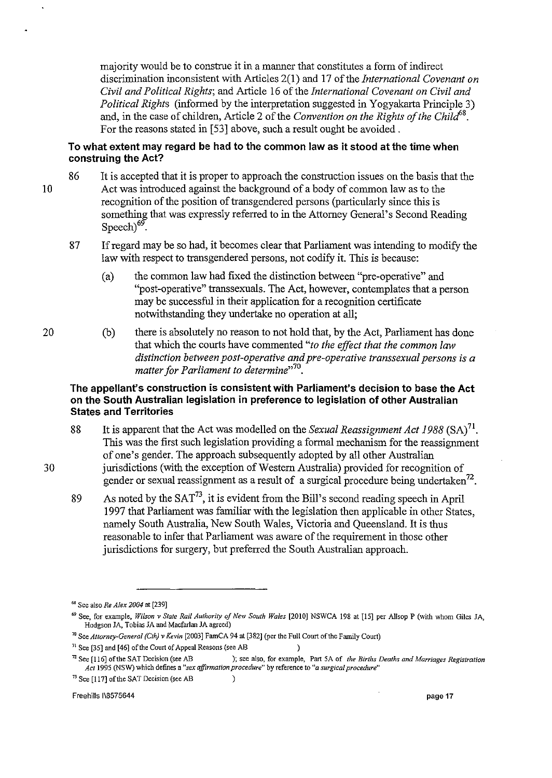majority would be to construe it in a manner that constitutes a form of indirect discrimination inconsistent with Articles 2(1) and 17 of the *International Covenant on Civil and Political Rights;* and Article 16 of the *International Covenant on Civil and Political Rights* (informed by the interpretation suggested in Yogyakarta Principle 3) and, in the case of children, Article 2 of the *Convention on the Rights of the Child'8.*  For the reasons stated in [53] above, such a result ought be avoided.

#### **To what extent may regard be had to the common law as it stood at the time when construing the Act?**

- 10 86 It is accepted that it is proper to approach the construction issues on the basis that the Act was introduced against the background of a body of common law as to the recognition of the position of transgendered persons (particularly since this is something that was expressly referred to in the Attorney General's Second Reading Speech) $69$ .
	- 87 If regard may be so had, it becomes clear that Parliament was intending to modify the law with respect to transgendered persons, not codify it. This is because:
		- (a) the common law had fixed the distinction between "pre-operative" and "post-operative" transsexuals. The Act, however, contemplates that a person may be successful in their application for a recognition certificate notwithstanding they undertake no operation at all;
- 20 (b) there is absolutely no reason to not hold that, by the Act, Parliament has done that which the courts have commented *"to the effect that the common law distinction between post-operative and pre-operative transsexual persons* is *a matter for Parliament to determine*<sup>770</sup>.

#### **The appelJanfs construction is consistent with Parliament's decision to base the Act on the South Australian legislation in preference to legislation of other Australian States and Territories**

- 88 It is apparent that the Act was modelled on the *Sexual Reassignment Act* 1988 (SA)71. This was the first such legislation providing a formal mechanism for the reassignment of one's gender. The approach subsequently adopted by all other Australian 30 jurisdictions (with the exception of Western Australia) provided for recognition of gender or sexual reassignment as a result of a surgical procedure being undertaken<sup>72</sup>.
	- 89 As noted by the  $SAT^{73}$ , it is evident from the Bill's second reading speech in April 1997 that Parliament was familiar with the legislation then applicable in other States, namely South Australia, New South Wales, Victoria and Queensland. It is thus reasonable to infer that Parliament was aware of the requirement in those other jurisdictions for surgery, but preferred the South Australian approach.

 $\mathcal{C}$ 

**73 See [117]** of the **SAT Decision (see AB** 

Freehills I\8575644 page 17

**<sup>68</sup> See also** *Re Alex 2004* **at [239]** 

<sup>&</sup>lt;sup>69</sup> See, for example, Wilson v State Rail Authority of New South Wales [2010] NSWCA 198 at [15] per Allsop P (with whom Giles JA, **Hodgson** *lA,* **Tobias** *lA* **and Macfarlan lA agreed)** 

<sup>&</sup>lt;sup>70</sup> See *Attorney-General (Cth) v Kevin* [2003] FamCA 94 at [382] (per the Full Court of the Family Court)

**<sup>71</sup>See [35] and [46]** of the **Court of Appeal Reasons (see AB )** 

**<sup>72</sup> See [116]** of the **SAT Decision (see AB ); see also, for example, Part SA of** *the Births Deaths and Marriages Registration Act* **1995 (NSW) which defines a** *"sex affirmation procedure"* **by reference to "a** *surgical procedure"*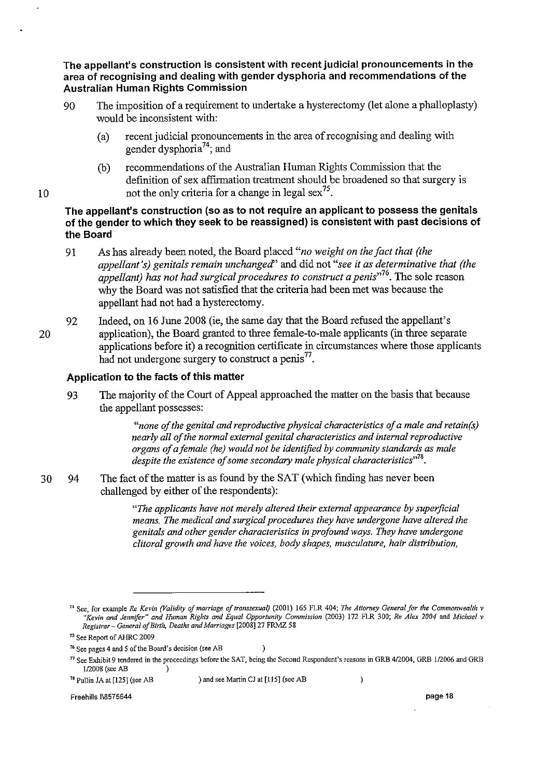The appellant's construction is consistent with recent judicial pronouncements in the area of recognising and dealing with gender dysphoria and recommendations of the Australian Human Rights Commission

- 90 The imposition of a requirement to undertake a hysterectomy (let alone a phalloplasty) would be inconsistent with:
	- (a) recent judicial pronouncements in the area of recognising and dealing with gender dysphoria<sup>74</sup>; and
	- (b) recommendations of the Australian Human Rights Commission that the defmition of sex affirmation treatment should be broadened so that surgery is not the only criteria for a change in legal sex<sup>75</sup>.
- The appellant's construction (so as to not require an applicant to possess the genitals of the gender to which they seek to be reassigned) is consistent with past decisions of the Board
- 91 As has already been noted, the Board placed *"no weight on the fact that (the appellant's) genitals remain unchanged'* and did not *"see* it *as determinative that (the appellant) has not had surgical procedures to construct a penis*<sup>76</sup>. The sole reason why the Board was not satisfied that the criteria had been met was because the appellant had not had a hysterectomy.
- 92 Indeed, on 16 June 2008 (ie, the same day that the Board refused the appellant's 20 application), the Board granted to three female-to-male applicants (in three separate applications before it) a recognition certificate in circumstances where those applicants had not undergone surgery to construct a penis<sup>77</sup>.

## Application to the facts of this matter

10

93 The majority of the Court of Appeal approached the matter on the basis that because the appellant possesses:

> *"none of the genital and reproductive physical characteristics of a male and retain(s) nearly all of the normal external genital characteristics and internal reproductive organs of a female (he) would not be identified by community standards as male despite the existence of some secondary male physical characteristics"?'.*

30 94 The fact of the matter is as found by the SAT (which finding has never been challenged by either of the respondents):

> *"The applicants have not merely altered their external appearance by superficial means. The medical and surgical procedures they have undergone have altered the genitals and other gender characteristics* in *profound ways. They have undergone clitoral growth and have the voices, body shapes, musculature, hair distribution,*

 $\lambda$ 

78 Pullin *lA* at [1251 (see AB ) and see Martin *Cl* at [115] (see AB

 $\lambda$ 

<sup>&</sup>lt;sup>74</sup> See, for example *Re Kevin (Validity of marriage of transsexual)* (2001) 165 FLR 404; *The Attorney General for the Commonwealth v "Kevin and jennifer" and Human Rights and Equal Opportunity Commission* (2003) 172 FLR 300; *Re Alex 2004* and *Michael* v *Registrar* - *General of Birth, Deaths and Marriages* [2008] 27 FRMZ 58

<sup>75</sup> See Report of AHRC 2009

<sup>&</sup>lt;sup>76</sup> See pages 4 and 5 of the Board's decision (see AB

*n* See Exhibit 9 tendered in the proceedings before the SAT, being the Second Respondent's reasons in GRB 412004, GRB 112006 and GRB 1/2008 (see AB )